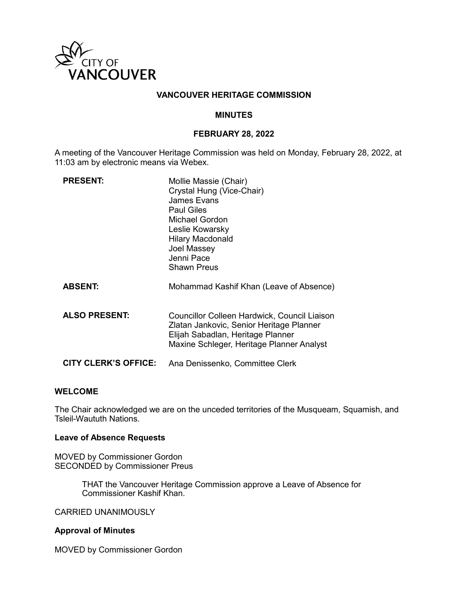

# **VANCOUVER HERITAGE COMMISSION**

## **MINUTES**

# **FEBRUARY 28, 2022**

A meeting of the Vancouver Heritage Commission was held on Monday, February 28, 2022, at 11:03 am by electronic means via Webex.

| <b>PRESENT:</b>             | Mollie Massie (Chair)<br>Crystal Hung (Vice-Chair)<br><b>James Evans</b><br><b>Paul Giles</b><br>Michael Gordon<br>Leslie Kowarsky<br><b>Hilary Macdonald</b><br>Joel Massey<br>Jenni Pace<br>Shawn Preus |
|-----------------------------|-----------------------------------------------------------------------------------------------------------------------------------------------------------------------------------------------------------|
| <b>ABSENT:</b>              | Mohammad Kashif Khan (Leave of Absence)                                                                                                                                                                   |
| <b>ALSO PRESENT:</b>        | <b>Councillor Colleen Hardwick, Council Liaison</b><br>Zlatan Jankovic, Senior Heritage Planner<br>Elijah Sabadlan, Heritage Planner<br>Maxine Schleger, Heritage Planner Analyst                         |
| <b>CITY CLERK'S OFFICE:</b> | Ana Denissenko, Committee Clerk                                                                                                                                                                           |

#### **WELCOME**

The Chair acknowledged we are on the unceded territories of the Musqueam, Squamish, and Tsleil-Waututh Nations.

#### **Leave of Absence Requests**

MOVED by Commissioner Gordon SECONDED by Commissioner Preus

> THAT the Vancouver Heritage Commission approve a Leave of Absence for Commissioner Kashif Khan.

#### CARRIED UNANIMOUSLY

## **Approval of Minutes**

MOVED by Commissioner Gordon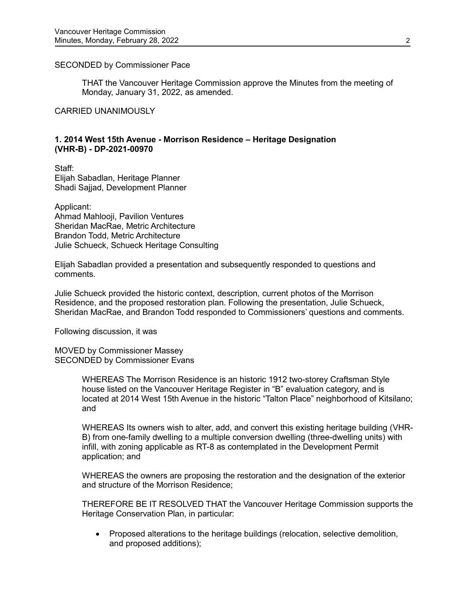### SECONDED by Commissioner Pace

THAT the Vancouver Heritage Commission approve the Minutes from the meeting of Monday, January 31, 2022, as amended.

CARRIED UNANIMOUSLY

# **1. 2014 West 15th Avenue - Morrison Residence – Heritage Designation (VHR-B) - DP-2021-00970**

Staff: Elijah Sabadlan, Heritage Planner Shadi Sajjad, Development Planner

Applicant: Ahmad Mahlooji, Pavilion Ventures Sheridan MacRae, Metric Architecture Brandon Todd, Metric Architecture Julie Schueck, Schueck Heritage Consulting

Elijah Sabadlan provided a presentation and subsequently responded to questions and comments.

Julie Schueck provided the historic context, description, current photos of the Morrison Residence, and the proposed restoration plan. Following the presentation, Julie Schueck, Sheridan MacRae, and Brandon Todd responded to Commissioners' questions and comments.

Following discussion, it was

MOVED by Commissioner Massey SECONDED by Commissioner Evans

> WHEREAS The Morrison Residence is an historic 1912 two-storey Craftsman Style house listed on the Vancouver Heritage Register in "B" evaluation category, and is located at 2014 West 15th Avenue in the historic "Talton Place" neighborhood of Kitsilano; and

> WHEREAS Its owners wish to alter, add, and convert this existing heritage building (VHR-B) from one-family dwelling to a multiple conversion dwelling (three-dwelling units) with infill, with zoning applicable as RT-8 as contemplated in the Development Permit application; and

WHEREAS the owners are proposing the restoration and the designation of the exterior and structure of the Morrison Residence;

THEREFORE BE IT RESOLVED THAT the Vancouver Heritage Commission supports the Heritage Conservation Plan, in particular:

• Proposed alterations to the heritage buildings (relocation, selective demolition, and proposed additions);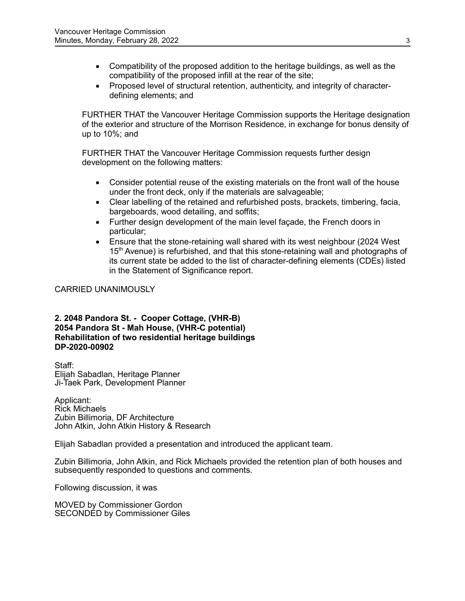- Compatibility of the proposed addition to the heritage buildings, as well as the compatibility of the proposed infill at the rear of the site;
- Proposed level of structural retention, authenticity, and integrity of characterdefining elements; and

FURTHER THAT the Vancouver Heritage Commission supports the Heritage designation of the exterior and structure of the Morrison Residence, in exchange for bonus density of up to 10%; and

FURTHER THAT the Vancouver Heritage Commission requests further design development on the following matters:

- Consider potential reuse of the existing materials on the front wall of the house under the front deck, only if the materials are salvageable;
- Clear labelling of the retained and refurbished posts, brackets, timbering, facia, bargeboards, wood detailing, and soffits;
- Further design development of the main level façade, the French doors in particular;
- Ensure that the stone-retaining wall shared with its west neighbour (2024 West 15<sup>th</sup> Avenue) is refurbished, and that this stone-retaining wall and photographs of its current state be added to the list of character-defining elements (CDEs) listed in the Statement of Significance report.

# CARRIED UNANIMOUSLY

**2. 2048 Pandora St. - Cooper Cottage, (VHR-B) 2054 Pandora St - Mah House, (VHR-C potential) Rehabilitation of two residential heritage buildings DP-2020-00902**

Staff: Elijah Sabadlan, Heritage Planner Ji-Taek Park, Development Planner

Applicant: Rick Michaels Zubin Billimoria, DF Architecture John Atkin, John Atkin History & Research

Elijah Sabadlan provided a presentation and introduced the applicant team.

Zubin Billimoria, John Atkin, and Rick Michaels provided the retention plan of both houses and subsequently responded to questions and comments.

Following discussion, it was

MOVED by Commissioner Gordon SECONDED by Commissioner Giles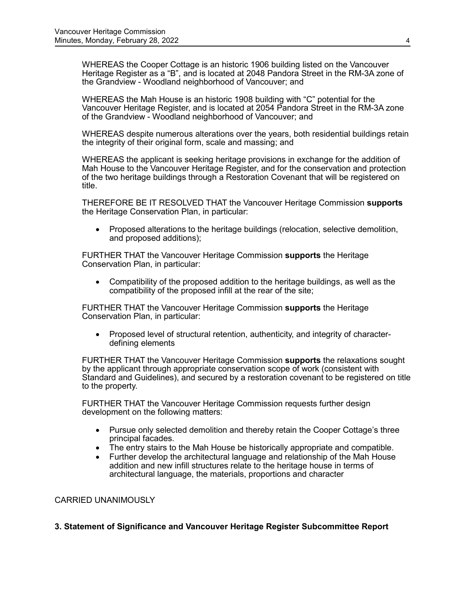WHEREAS the Cooper Cottage is an historic 1906 building listed on the Vancouver Heritage Register as a "B", and is located at 2048 Pandora Street in the RM-3A zone of the Grandview - Woodland neighborhood of Vancouver; and

WHEREAS the Mah House is an historic 1908 building with "C" potential for the Vancouver Heritage Register, and is located at 2054 Pandora Street in the RM-3A zone of the Grandview - Woodland neighborhood of Vancouver; and

WHEREAS despite numerous alterations over the years, both residential buildings retain the integrity of their original form, scale and massing; and

WHEREAS the applicant is seeking heritage provisions in exchange for the addition of Mah House to the Vancouver Heritage Register, and for the conservation and protection of the two heritage buildings through a Restoration Covenant that will be registered on title.

THEREFORE BE IT RESOLVED THAT the Vancouver Heritage Commission **supports**  the Heritage Conservation Plan, in particular:

• Proposed alterations to the heritage buildings (relocation, selective demolition, and proposed additions);

FURTHER THAT the Vancouver Heritage Commission **supports** the Heritage Conservation Plan, in particular:

• Compatibility of the proposed addition to the heritage buildings, as well as the compatibility of the proposed infill at the rear of the site;

FURTHER THAT the Vancouver Heritage Commission **supports** the Heritage Conservation Plan, in particular:

• Proposed level of structural retention, authenticity, and integrity of characterdefining elements

FURTHER THAT the Vancouver Heritage Commission **supports** the relaxations sought by the applicant through appropriate conservation scope of work (consistent with Standard and Guidelines), and secured by a restoration covenant to be registered on title to the property.

FURTHER THAT the Vancouver Heritage Commission requests further design development on the following matters:

- Pursue only selected demolition and thereby retain the Cooper Cottage's three principal facades.
- The entry stairs to the Mah House be historically appropriate and compatible.<br>• Further develop the architectural language and relationship of the Mah House
- Further develop the architectural language and relationship of the Mah House addition and new infill structures relate to the heritage house in terms of architectural language, the materials, proportions and character

## CARRIED UNANIMOUSLY

**3. Statement of Significance and Vancouver Heritage Register Subcommittee Report**